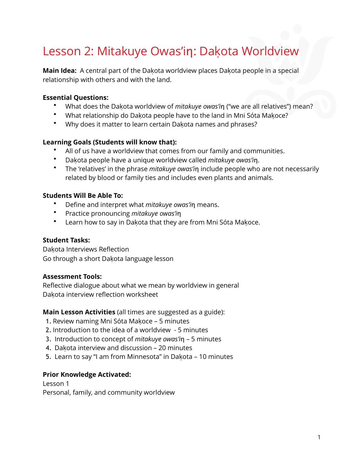# Lesson 2: Mitakuye Owas'in: Dakota Worldview

**Main Idea:** A central part of the Dakota worldview places Dakota people in a special relationship with others and with the land.

#### **Essential Questions:**

- What does the Dakota worldview of *mitakuye owas'i*n ("we are all relatives") mean?
- What relationship do Dakota people have to the land in Mni Sóta Makoce?
- Why does it matter to learn certain Dakota names and phrases?

#### **Learning Goals (Students will know that):**

- All of us have a worldview that comes from our family and communities.
- Dakota people have a unique worldview called *mitakuye owas'i*n.
- The 'relatives' in the phrase *mitakuye owas'i*n include people who are not necessarily related by blood or family ties and includes even plants and animals.

#### **Students Will Be Able To:**

- Define and interpret what *mitakuye owas'i*n means.
- Practice pronouncing *mitakuye owas'i*n
- Learn how to say in Dakota that they are from Mni Sóta Makoce.

#### **Student Tasks:**

Dakota Interviews Reflection Go through a short Dakota language lesson

#### **Assessment Tools:**

Reflective dialogue about what we mean by worldview in general Dakota interview reflection worksheet

#### **Main Lesson Activities** (all times are suggested as a guide):

- 1. Review naming Mni Sóta Makoce 5 minutes
- 2. Introduction to the idea of a worldview 5 minutes
- 3. Introduction to concept of *mitakuye owas'i*n 5 minutes
- 4. Dakota interview and discussion 20 minutes
- 5. Learn to say "I am from Minnesota" in Dakota 10 minutes

#### **Prior Knowledge Activated:**

Lesson 1 Personal, family, and community worldview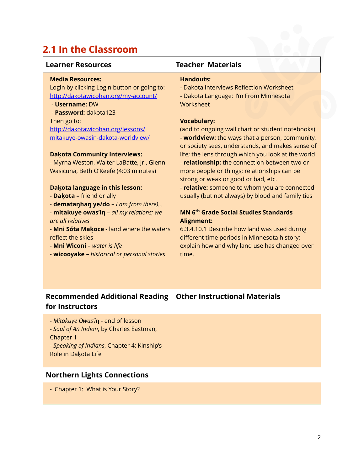### **2.1 In the Classroom**

#### **Learner Resources Teacher Materials**

#### **Media Resources:**

Login by clicking Login button or going to: <http://dakotawicohan.org/my-account/>

#### - **Username:** DW

- **Password:** dakota123

Then go to: http://dakotawicohan.org/lessons/ [mitakuye-owasin-dakota-worldview/](http://dakotawicohan.org/lessons/mitakuye-owasin-dakota-worldview/)

#### **Dakọ ta Community Interviews:**

- Myrna Weston, Walter LaBatte, Jr., Glenn Wasicuna, Beth O'Keefe (4:03 minutes)

#### **Dakọ ta language in this lesson:**

- **Dakọ ta** friend or ally
- **demataŋhaŋ ye/do** *I am from (here)…*

- **mitakuye owas'iƞ** – *all my relations; we are all relatives*

- **Mni Sóta Makọ ce -** land where the waters reflect the skies

- **Mni Wiconi** *water is life*
- **wicooyake** *historical or personal stories*

#### **Handouts:**

- Dakota Interviews Reflection Worksheet

- Dakota Language: I'm From Minnesota **Worksheet** 

#### **Vocabulary:**

(add to ongoing wall chart or student notebooks) - **worldview:** the ways that a person, community, or society sees, understands, and makes sense of life; the lens through which you look at the world - **relationship:** the connection between two or more people or things; relationships can be strong or weak or good or bad, etc.

- **relative:** someone to whom you are connected usually (but not always) by blood and family ties

#### **MN 6th Grade Social Studies Standards Alignment:**

6.3.4.10.1 Describe how land was used during different time periods in Minnesota history; explain how and why land use has changed over time.

### **Recommended Additional Reading Other Instructional Materials for Instructors**

- *Mitakuye Owas'i*ƞ - end of lesson

- *Soul of An Indian*, by Charles Eastman, Chapter 1
- *Speaking of Indians*, Chapter 4: Kinship's **Role in Dakota Life**

#### **Northern Lights Connections**

- Chapter 1: What is Your Story?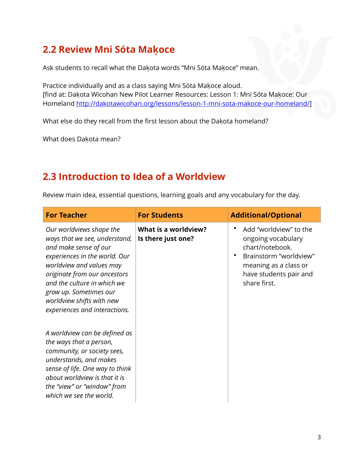### **2.2 Review Mni Sóta Makọ ce**

Ask students to recall what the Dakota words "Mni Sóta Makoce" mean.

Practice individually and as a class saying Mni Sóta Makoce aloud. [find at: Dakota Wicohan New Pilot Learner Resources: Lesson 1: Mni Sóta Makoce: Our Homeland [http://dakotawicohan.org/lessons/lesson-1-mni-sota-makoce-our-homeland/\]](http://dakotawicohan.org/lessons/lesson-1-mni-sota-makoce-our-homeland/)

What else do they recall from the first lesson about the Dakota homeland?

What does Dakota mean?

### **2.3 Introduction to Idea of a Worldview**

Review main idea, essential questions, learning goals and any vocabulary for the day.

| <b>For Teacher</b>                                                                                                                                                                                                                                                                                     | <b>For Students</b>                        | <b>Additional/Optional</b>                                                                                                                                   |
|--------------------------------------------------------------------------------------------------------------------------------------------------------------------------------------------------------------------------------------------------------------------------------------------------------|--------------------------------------------|--------------------------------------------------------------------------------------------------------------------------------------------------------------|
| Our worldviews shape the<br>ways that we see, understand,<br>and make sense of our<br>experiences in the world. Our<br>worldview and values may<br>originate from our ancestors<br>and the culture in which we<br>grow up. Sometimes our<br>worldview shifts with new<br>experiences and interactions. | What is a worldview?<br>Is there just one? | Add "worldview" to the<br>ongoing vocabulary<br>chart/notebook.<br>Brainstorm "worldview"<br>meaning as a class or<br>have students pair and<br>share first. |
| A worldview can be defined as<br>the ways that a person,<br>community, or society sees,<br>understands, and makes<br>sense of life. One way to think<br>about worldview is that it is<br>the "view" or "window" from<br>which we see the world.                                                        |                                            |                                                                                                                                                              |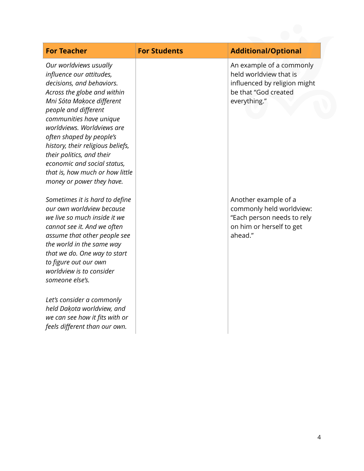| <b>For Teacher</b>                                                                                                                                                                                                                                                                                                                                                                                                        | <b>For Students</b> | <b>Additional/Optional</b>                                                                                                 |
|---------------------------------------------------------------------------------------------------------------------------------------------------------------------------------------------------------------------------------------------------------------------------------------------------------------------------------------------------------------------------------------------------------------------------|---------------------|----------------------------------------------------------------------------------------------------------------------------|
| Our worldviews usually<br>influence our attitudes,<br>decisions, and behaviors.<br>Across the globe and within<br>Mni Sóta Makoce different<br>people and different<br>communities have unique<br>worldviews. Worldviews are<br>often shaped by people's<br>history, their religious beliefs,<br>their politics, and their<br>economic and social status,<br>that is, how much or how little<br>money or power they have. |                     | An example of a commonly<br>held worldview that is<br>influenced by religion might<br>be that "God created<br>everything." |
| Sometimes it is hard to define<br>our own worldview because<br>we live so much inside it we<br>cannot see it. And we often<br>assume that other people see<br>the world in the same way<br>that we do. One way to start<br>to figure out our own<br>worldview is to consider<br>someone else's.<br>Let's consider a commonly                                                                                              |                     | Another example of a<br>commonly held worldview:<br>"Each person needs to rely<br>on him or herself to get<br>ahead."      |
| held Dakota worldview, and<br>we can see how it fits with or<br>feels different than our own.                                                                                                                                                                                                                                                                                                                             |                     |                                                                                                                            |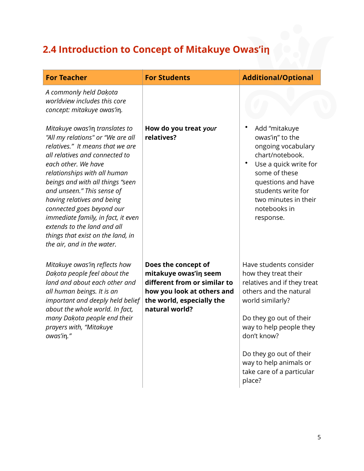# **2.4 Introduction to Concept of Mitakuye Owas'in**

| <b>For Teacher</b>                                                                                                                                                                                                                                                                                                                                                                                                                                                    | <b>For Students</b>                                                                                                                                       | <b>Additional/Optional</b>                                                                                                                                                                                                                                                                   |
|-----------------------------------------------------------------------------------------------------------------------------------------------------------------------------------------------------------------------------------------------------------------------------------------------------------------------------------------------------------------------------------------------------------------------------------------------------------------------|-----------------------------------------------------------------------------------------------------------------------------------------------------------|----------------------------------------------------------------------------------------------------------------------------------------------------------------------------------------------------------------------------------------------------------------------------------------------|
| A commonly held Dakota<br>worldview includes this core<br>concept: mitakuye owas'in.                                                                                                                                                                                                                                                                                                                                                                                  |                                                                                                                                                           |                                                                                                                                                                                                                                                                                              |
| Mitakuye owas'in translates to<br>"All my relations" or "We are all<br>relatives." It means that we are<br>all relatives and connected to<br>each other. We have<br>relationships with all human<br>beings and with all things "seen<br>and unseen." This sense of<br>having relatives and being<br>connected goes beyond our<br>immediate family, in fact, it even<br>extends to the land and all<br>things that exist on the land, in<br>the air, and in the water. | How do you treat your<br>relatives?                                                                                                                       | Add "mitakuye<br>owas'in" to the<br>ongoing vocabulary<br>chart/notebook.<br>Use a quick write for<br>some of these<br>questions and have<br>students write for<br>two minutes in their<br>notebooks in<br>response.                                                                         |
| Mitakuye owas'in reflects how<br>Dakota people feel about the<br>land and about each other and<br>all human beings. It is an<br>important and deeply held belief<br>about the whole world. In fact,<br>many Dakota people end their<br>prayers with, "Mitakuye<br>owas'in."                                                                                                                                                                                           | Does the concept of<br>mitakuye owas'in seem<br>different from or similar to<br>how you look at others and<br>the world, especially the<br>natural world? | Have students consider<br>how they treat their<br>relatives and if they treat<br>others and the natural<br>world similarly?<br>Do they go out of their<br>way to help people they<br>don't know?<br>Do they go out of their<br>way to help animals or<br>take care of a particular<br>place? |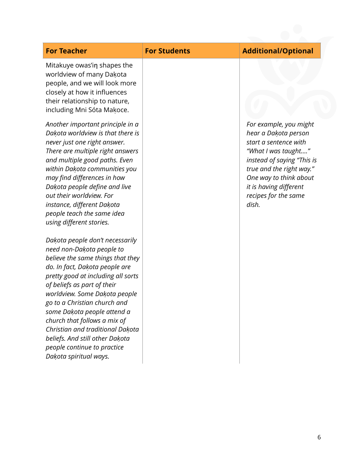| <b>For Teacher</b>                                                                                                                                                                                                                                                                                                                                                                                                                                                       | <b>For Students</b> | <b>Additional/Optional</b>                                                                                                                                                                                                                    |
|--------------------------------------------------------------------------------------------------------------------------------------------------------------------------------------------------------------------------------------------------------------------------------------------------------------------------------------------------------------------------------------------------------------------------------------------------------------------------|---------------------|-----------------------------------------------------------------------------------------------------------------------------------------------------------------------------------------------------------------------------------------------|
| Mitakuye owas'in shapes the<br>worldview of many Dakota<br>people, and we will look more<br>closely at how it influences<br>their relationship to nature,<br>including Mni Sóta Makoce.                                                                                                                                                                                                                                                                                  |                     |                                                                                                                                                                                                                                               |
| Another important principle in a<br>Dakota worldview is that there is<br>never just one right answer.<br>There are multiple right answers<br>and multiple good paths. Even<br>within Dakota communities you<br>may find differences in how<br>Dakota people define and live<br>out their worldview. For<br>instance, different Dakota<br>people teach the same idea<br>using different stories.                                                                          |                     | For example, you might<br>hear a Dakota person<br>start a sentence with<br>"What I was taught"<br>instead of saying "This is<br>true and the right way."<br>One way to think about<br>it is having different<br>recipes for the same<br>dish. |
| Dakota people don't necessarily<br>need non-Dakota people to<br>believe the same things that they<br>do. In fact, Dakota people are<br>pretty good at including all sorts<br>of beliefs as part of their<br>worldview. Some Dakota people<br>go to a Christian church and<br>some Dakota people attend a<br>church that follows a mix of<br>Christian and traditional Dakota<br>beliefs. And still other Dakota<br>people continue to practice<br>Dakota spiritual ways. |                     |                                                                                                                                                                                                                                               |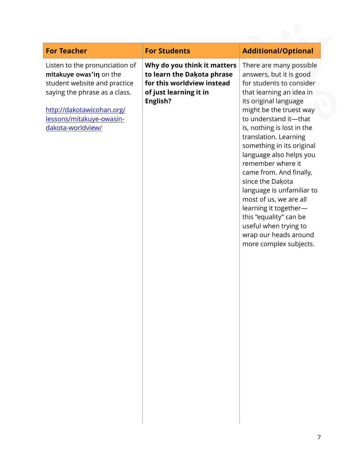| <b>For Teacher</b>                                                                                                                                                                                       | <b>For Students</b>                                                                                                           | <b>Additional/Optional</b>                                                                                                                                                                                                                                                                                                                                                                                                                                                                                                                                       |
|----------------------------------------------------------------------------------------------------------------------------------------------------------------------------------------------------------|-------------------------------------------------------------------------------------------------------------------------------|------------------------------------------------------------------------------------------------------------------------------------------------------------------------------------------------------------------------------------------------------------------------------------------------------------------------------------------------------------------------------------------------------------------------------------------------------------------------------------------------------------------------------------------------------------------|
| Listen to the pronunciation of<br>mitakuye owas'in on the<br>student website and practice<br>saying the phrase as a class.<br>http://dakotawicohan.org/<br>lessons/mitakuye-owasin-<br>dakota-worldview/ | Why do you think it matters<br>to learn the Dakota phrase<br>for this worldview instead<br>of just learning it in<br>English? | There are many possible<br>answers, but it is good<br>for students to consider<br>that learning an idea in<br>its original language<br>might be the truest way<br>to understand it-that<br>is, nothing is lost in the<br>translation. Learning<br>something in its original<br>language also helps you<br>remember where it<br>came from. And finally,<br>since the Dakota<br>language is unfamiliar to<br>most of us, we are all<br>learning it together-<br>this "equality" can be<br>useful when trying to<br>wrap our heads around<br>more complex subjects. |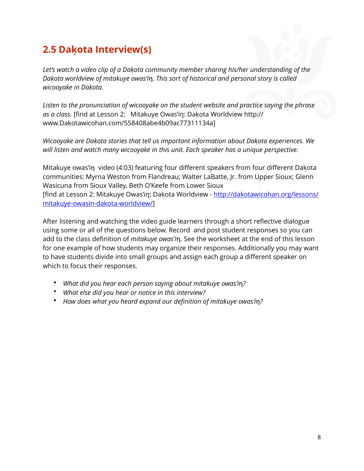## **2.5 Dakọ ta Interview(s)**

*Let's watch a video clip of a Dakoṭ a community member sharing his/her understanding of the Dakota worldview of mitakuye owas'in. This sort of historical and personal story is called wicooyake in Dakoṭ a.*

*Listen to the pronunciation of wicooyake on the student website and practice saying the phrase*  as a class. [find at Lesson 2: Mitakuye Owas'in: Dakota Worldview [http://](http://www.dakotawicohan.com/558408abe4b09ac77311134a) www.Dakota[wicohan.com/558408abe4b09ac77311134a\]](http://www.dakotawicohan.com/558408abe4b09ac77311134a)

*Wicooyake are Dakoṭ a stories that tell us important information about Dakoṭ a experiences. We will listen and watch many wicooyake in this unit. Each speaker has a unique perspective.* 

Mitakuye owas'in video (4:03) featuring four different speakers from four different Dakota communities: Myrna Weston from Flandreau; Walter LaBatte, Jr. from Upper Sioux; Glenn Wasicuna from Sioux Valley, Beth O'Keefe from Lower Sioux [find at Lesson 2: Mitakuye Owas'in: Dakota Worldview - [http://dakotawicohan.org/lessons/](http://dakotawicohan.org/lessons/mitakuye-owasin-dakota-worldview/) [mitakuye-owasin-dakota-worldview/\]](http://dakotawicohan.org/lessons/mitakuye-owasin-dakota-worldview/)

After listening and watching the video guide learners through a short reflective dialogue using some or all of the questions below. Record and post student responses so you can add to the class definition of *mitakuye owas'i*n. See the worksheet at the end of this lesson for one example of how students may organize their responses. Additionally you may want to have students divide into small groups and assign each group a different speaker on which to focus their responses.

- *What did you hear each person saying about mitakuye owas'in?*
- *What else did you hear or notice in this interview?*
- How does what you heard expand our definition of mitakuye owas'in?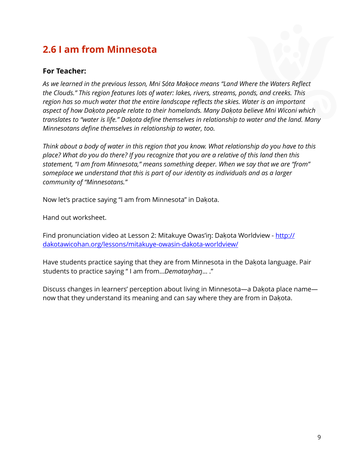## **2.6 I am from Minnesota**

#### **For Teacher:**

As we learned in the previous lesson, Mni Sóta Makoce means "Land Where the Waters Reflect *the Clouds." This region features lots of water: lakes, rivers, streams, ponds, and creeks. This region has so much water that the entire landscape reflects the skies. Water is an important aspect of how Dakoṭ a people relate to their homelands. Many Dakoṭ a believe Mni Wiconi which translates to "water is life." Dakoṭ a define themselves in relationship to water and the land. Many Minnesotans define themselves in relationship to water, too.* 

*Think about a body of water in this region that you know. What relationship do you have to this place? What do you do there? If you recognize that you are a relative of this land then this statement, "I am from Minnesota," means something deeper. When we say that we are "from" someplace we understand that this is part of our identity as individuals and as a larger community of "Minnesotans."* 

Now let's practice saying "I am from Minnesota" in Dakota.

Hand out worksheet.

Find pronunciation video at Lesson 2: Mitakuye Owas'in: Dakota Worldview - [http://](http://dakotawicohan.org/lessons/mitakuye-owasin-dakota-worldview/) [dakotawicohan.org/lessons/mitakuye-owasin-dakota-worldview/](http://dakotawicohan.org/lessons/mitakuye-owasin-dakota-worldview/)

Have students practice saying that they are from Minnesota in the Dakota language. Pair students to practice saying " I am from…*Demataŋhaŋ*… ."

Discuss changes in learners' perception about living in Minnesota—a Dakota place name now that they understand its meaning and can say where they are from in Dakota.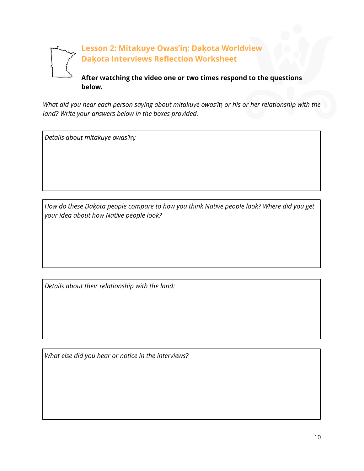

*What did you hear each person saying about mitakuye owas'in or his or her relationship with the land? Write your answers below in the boxes provided.* 

*Details about mitakuye owas'i*ƞ*:* 

*How do these Dakoṭ a people compare to how you think Native people look? Where did you get your idea about how Native people look?* 

*Details about their relationship with the land:* 

*What else did you hear or notice in the interviews?*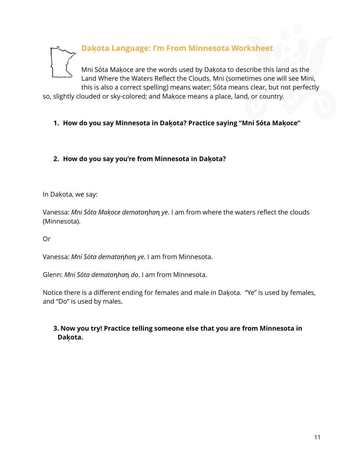

Land Where the Waters Reflect the Clouds. Mni (sometimes one will see Mini, this is also a correct spelling) means water; Sóta means clear, but not perfectly

so, slightly clouded or sky-colored; and Makoce means a place, land, or country.

#### **1. How do you say Minnesota in Dakọ ta? Practice saying "Mni Sóta Makọ ce"**

#### **2. How do you say you're from Minnesota in Dakọ ta?**

In Dakota, we say:

Vanessa: *Mni Sóta Makoce dematanhan ye*. I am from where the waters reflect the clouds (Minnesota).

Or

Vanessa: *Mni Sóta demata*ƞ*ha*ƞ *ye*. I am from Minnesota.

Glenn: *Mni Sóta demata*ƞ*ha*ƞ *do*. I am from Minnesota.

Notice there is a different ending for females and male in Dakota. "Ye" is used by females, and "Do" is used by males.

#### **3. Now you try! Practice telling someone else that you are from Minnesota in Dakọ ta.**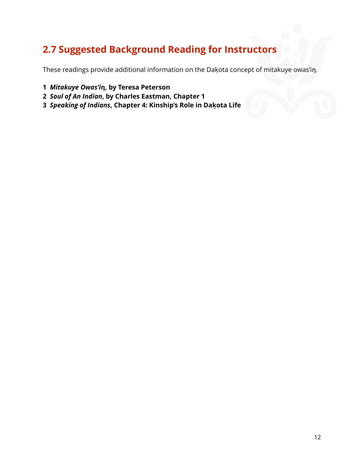## **2.7 Suggested Background Reading for Instructors**

These readings provide additional information on the Dakota concept of mitakuye owas'in.

- *Mitakuye Owas'i***ƞ, by Teresa Peterson**
- *Soul of An Indian***, by Charles Eastman, Chapter 1**
- *Speaking of Indians***, Chapter 4: Kinship's Role in Dakọ ta Life**